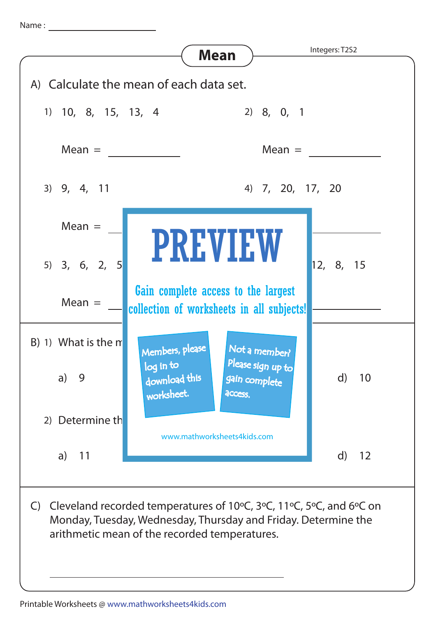Name :